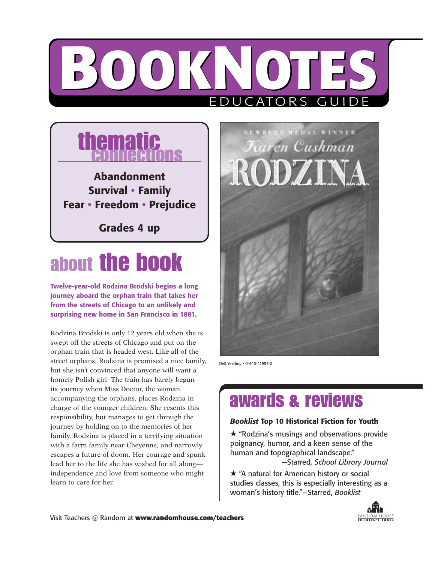# **BOOKNOTES** ORS GU



### about **the**

**Twelve-year-old Rodzina Brodski begins a long journey aboard the orphan train that takes her from the streets of Chicago to an unlikely and surprising new home in San Francisco in 1881.**

Rodzina Brodski is only 12 years old when she is swept off the streets of Chicago and put on the orphan train that is headed west. Like all of the street orphans, Rodzina is promised a nice family, but she isn't convinced that anyone will want a homely Polish girl. The train has barely begun its journey when Miss Doctor, the woman accompanying the orphans, places Rodzina in charge of the younger children. She resents this responsibility, but manages to get through the journey by holding on to the memories of her family. Rodzina is placed in a terrifying situation with a farm family near Cheyenne, and narrowly escapes a future of doom. Her courage and spunk lead her to the life she has wished for all along independence and love from someone who might learn to care for her.



Dell Yearling • 0-440-41993-X

### awards & reviews

#### *Booklist* **Top 10 Historical Fiction for Youth**

★ "Rodzina's musings and observations provide poignancy, humor, and a keen sense of the human and topographical landscape." —Starred, *School Library Journal*

★ "A natural for American history or social studies classes, this is especially interesting as a woman's history title."—Starred, *Booklist* 

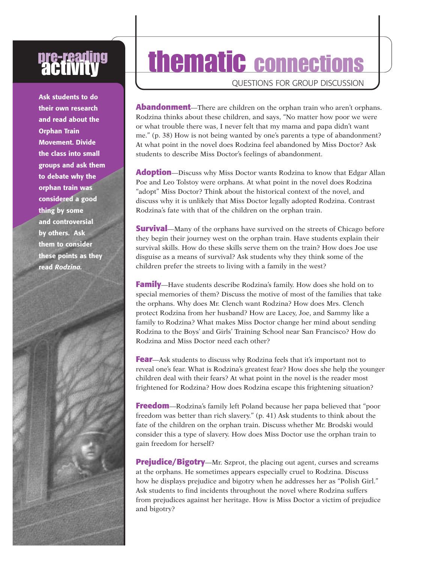# **pre-reading<br>"activity"**

**Ask students to do their own research and read about the Orphan Train Movement. Divide the class into small groups and ask them to debate why the orphan train was considered a good thing by some and controversial by others. Ask them to consider these points as they read** *Rodzina.*

# thematic connections

QUESTIONS FOR GROUP DISCUSSION

**Abandonment**—There are children on the orphan train who aren't orphans. Rodzina thinks about these children, and says, "No matter how poor we were or what trouble there was, I never felt that my mama and papa didn't want me." (p. 38) How is not being wanted by one's parents a type of abandonment? At what point in the novel does Rodzina feel abandoned by Miss Doctor? Ask students to describe Miss Doctor's feelings of abandonment.

**Adoption**—Discuss why Miss Doctor wants Rodzina to know that Edgar Allan Poe and Leo Tolstoy were orphans. At what point in the novel does Rodzina "adopt" Miss Doctor? Think about the historical context of the novel, and discuss why it is unlikely that Miss Doctor legally adopted Rodzina. Contrast Rodzina's fate with that of the children on the orphan train.

**Survival**—Many of the orphans have survived on the streets of Chicago before they begin their journey west on the orphan train. Have students explain their survival skills. How do these skills serve them on the train? How does Joe use disguise as a means of survival? Ask students why they think some of the children prefer the streets to living with a family in the west?

**Family**—Have students describe Rodzina's family. How does she hold on to special memories of them? Discuss the motive of most of the families that take the orphans. Why does Mr. Clench want Rodzina? How does Mrs. Clench protect Rodzina from her husband? How are Lacey, Joe, and Sammy like a family to Rodzina? What makes Miss Doctor change her mind about sending Rodzina to the Boys' and Girls' Training School near San Francisco? How do Rodzina and Miss Doctor need each other?

**Fear**—Ask students to discuss why Rodzina feels that it's important not to reveal one's fear. What is Rodzina's greatest fear? How does she help the younger children deal with their fears? At what point in the novel is the reader most frightened for Rodzina? How does Rodzina escape this frightening situation?

**Freedom**—Rodzina's family left Poland because her papa believed that "poor freedom was better than rich slavery." (p. 41) Ask students to think about the fate of the children on the orphan train. Discuss whether Mr. Brodski would consider this a type of slavery. How does Miss Doctor use the orphan train to gain freedom for herself?

**Prejudice/Bigotry**—Mr. Szprot, the placing out agent, curses and screams at the orphans. He sometimes appears especially cruel to Rodzina. Discuss how he displays prejudice and bigotry when he addresses her as "Polish Girl." Ask students to find incidents throughout the novel where Rodzina suffers from prejudices against her heritage. How is Miss Doctor a victim of prejudice and bigotry?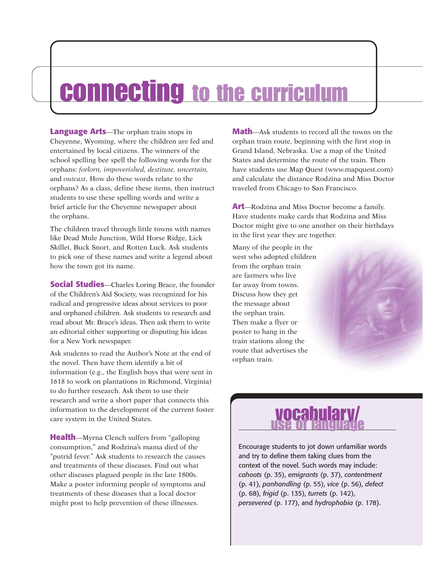## connecting to the curriculum

**Language Arts**—The orphan train stops in Cheyenne, Wyoming, where the children are fed and entertained by local citizens. The winners of the school spelling bee spell the following words for the orphans: *forlorn, impoverished, destitute, uncertain,* and *outcast.* How do these words relate to the orphans? As a class, define these items, then instruct students to use these spelling words and write a brief article for the Cheyenne newspaper about the orphans.

The children travel through little towns with names like Dead Mule Junction, Wild Horse Ridge, Lick Skillet, Buck Snort, and Rotten Luck. Ask students to pick one of these names and write a legend about how the town got its name.

**Social Studies**—Charles Loring Brace, the founder of the Children's Aid Society, was recognized for his radical and progressive ideas about services to poor and orphaned children. Ask students to research and read about Mr. Brace's ideas. Then ask them to write an editorial either supporting or disputing his ideas for a New York newspaper.

Ask students to read the Author's Note at the end of the novel. Then have them identify a bit of information (e.g., the English boys that were sent in 1618 to work on plantations in Richmond, Virginia) to do further research. Ask them to use their research and write a short paper that connects this information to the development of the current foster care system in the United States.

**Health**—Myrna Clench suffers from "galloping consumption," and Rodzina's mama died of the "putrid fever." Ask students to research the causes and treatments of these diseases. Find out what other diseases plagued people in the late 1800s. Make a poster informing people of symptoms and treatments of these diseases that a local doctor might post to help prevention of these illnesses.

**Math**—Ask students to record all the towns on the orphan train route, beginning with the first stop in Grand Island, Nebraska. Use a map of the United States and determine the route of the train. Then have students use Map Quest (www.mapquest.com) and calculate the distance Rodzina and Miss Doctor traveled from Chicago to San Francisco.

**Art**—Rodzina and Miss Doctor become a family. Have students make cards that Rodzina and Miss Doctor might give to one another on their birthdays in the first year they are together.

Many of the people in the west who adopted children from the orphan train are farmers who live far away from towns. Discuss how they get the message about the orphan train. Then make a flyer or poster to hang in the train stations along the route that advertises the orphan train.



Encourage students to jot down unfamiliar words and try to define them taking clues from the context of the novel. Such words may include: *cahoots* (p. 35), *emigrants* (p. 37), *contentment* (p. 41), *panhandling* (p. 55), *vice* (p. 56), *defect* (p. 68), *frigid* (p. 135), *turrets* (p. 142), *persevered* (p. 177), and *hydrophobia* (p. 178).